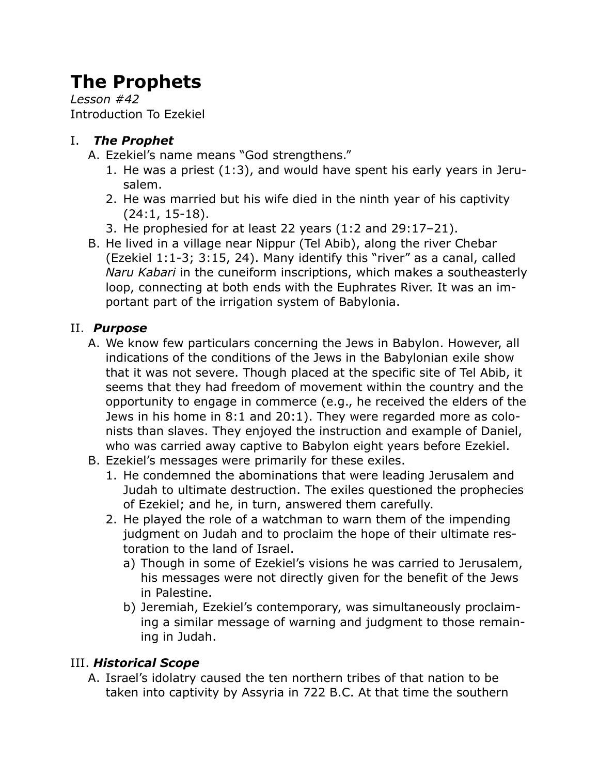# **The Prophets**

*Lesson #42* Introduction To Ezekiel

#### I. *The Prophet*

- A. Ezekiel's name means "God strengthens."
	- 1. He was a priest (1:3), and would have spent his early years in Jerusalem.
	- 2. He was married but his wife died in the ninth year of his captivity (24:1, 15-18).
	- 3. He prophesied for at least 22 years (1:2 and 29:17–21).
- B. He lived in a village near Nippur (Tel Abib), along the river Chebar (Ezekiel 1:1-3; 3:15, 24). Many identify this "river" as a canal, called *Naru Kabari* in the cuneiform inscriptions, which makes a southeasterly loop, connecting at both ends with the Euphrates River. It was an important part of the irrigation system of Babylonia.

### II. *Purpose*

- A. We know few particulars concerning the Jews in Babylon. However, all indications of the conditions of the Jews in the Babylonian exile show that it was not severe. Though placed at the specific site of Tel Abib, it seems that they had freedom of movement within the country and the opportunity to engage in commerce (e.g., he received the elders of the Jews in his home in 8:1 and 20:1). They were regarded more as colonists than slaves. They enjoyed the instruction and example of Daniel, who was carried away captive to Babylon eight years before Ezekiel.
- B. Ezekiel's messages were primarily for these exiles.
	- 1. He condemned the abominations that were leading Jerusalem and Judah to ultimate destruction. The exiles questioned the prophecies of Ezekiel; and he, in turn, answered them carefully.
	- 2. He played the role of a watchman to warn them of the impending judgment on Judah and to proclaim the hope of their ultimate restoration to the land of Israel.
		- a) Though in some of Ezekiel's visions he was carried to Jerusalem, his messages were not directly given for the benefit of the Jews in Palestine.
		- b) Jeremiah, Ezekiel's contemporary, was simultaneously proclaiming a similar message of warning and judgment to those remaining in Judah.

#### III. *Historical Scope*

A. Israel's idolatry caused the ten northern tribes of that nation to be taken into captivity by Assyria in 722 B.C. At that time the southern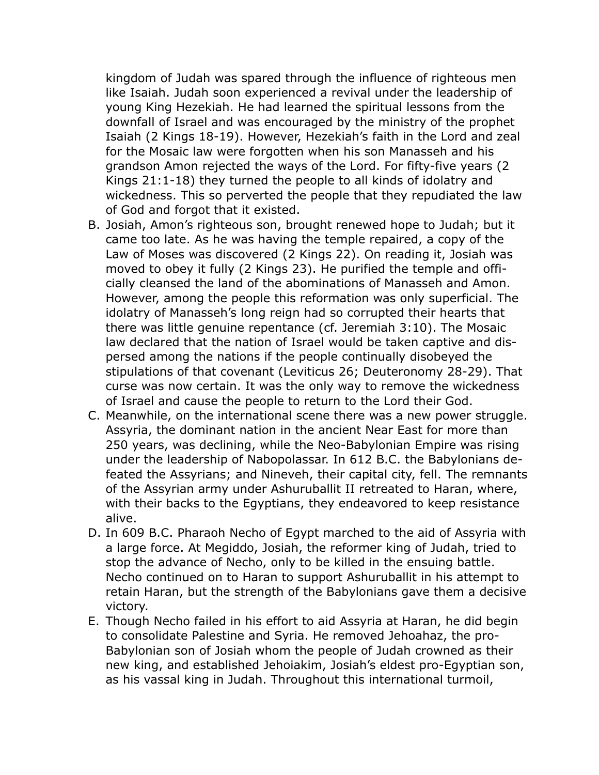kingdom of Judah was spared through the influence of righteous men like Isaiah. Judah soon experienced a revival under the leadership of young King Hezekiah. He had learned the spiritual lessons from the downfall of Israel and was encouraged by the ministry of the prophet Isaiah (2 Kings 18-19). However, Hezekiah's faith in the Lord and zeal for the Mosaic law were forgotten when his son Manasseh and his grandson Amon rejected the ways of the Lord. For fifty-five years (2 Kings 21:1-18) they turned the people to all kinds of idolatry and wickedness. This so perverted the people that they repudiated the law of God and forgot that it existed.

- B. Josiah, Amon's righteous son, brought renewed hope to Judah; but it came too late. As he was having the temple repaired, a copy of the Law of Moses was discovered (2 Kings 22). On reading it, Josiah was moved to obey it fully (2 Kings 23). He purified the temple and officially cleansed the land of the abominations of Manasseh and Amon. However, among the people this reformation was only superficial. The idolatry of Manasseh's long reign had so corrupted their hearts that there was little genuine repentance (cf. Jeremiah 3:10). The Mosaic law declared that the nation of Israel would be taken captive and dispersed among the nations if the people continually disobeyed the stipulations of that covenant (Leviticus 26; Deuteronomy 28-29). That curse was now certain. It was the only way to remove the wickedness of Israel and cause the people to return to the Lord their God.
- C. Meanwhile, on the international scene there was a new power struggle. Assyria, the dominant nation in the ancient Near East for more than 250 years, was declining, while the Neo-Babylonian Empire was rising under the leadership of Nabopolassar. In 612 B.C. the Babylonians defeated the Assyrians; and Nineveh, their capital city, fell. The remnants of the Assyrian army under Ashuruballit II retreated to Haran, where, with their backs to the Egyptians, they endeavored to keep resistance alive.
- D. In 609 B.C. Pharaoh Necho of Egypt marched to the aid of Assyria with a large force. At Megiddo, Josiah, the reformer king of Judah, tried to stop the advance of Necho, only to be killed in the ensuing battle. Necho continued on to Haran to support Ashuruballit in his attempt to retain Haran, but the strength of the Babylonians gave them a decisive victory.
- E. Though Necho failed in his effort to aid Assyria at Haran, he did begin to consolidate Palestine and Syria. He removed Jehoahaz, the pro-Babylonian son of Josiah whom the people of Judah crowned as their new king, and established Jehoiakim, Josiah's eldest pro-Egyptian son, as his vassal king in Judah. Throughout this international turmoil,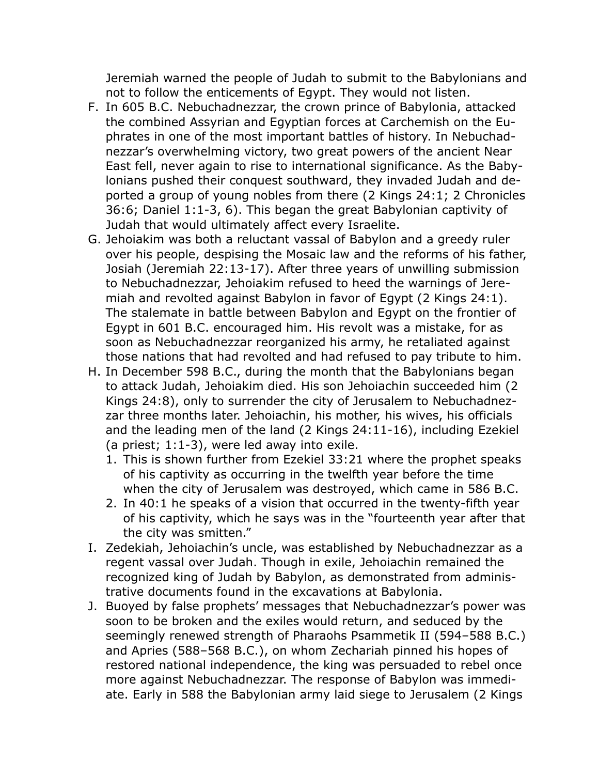Jeremiah warned the people of Judah to submit to the Babylonians and not to follow the enticements of Egypt. They would not listen.

- F. In 605 B.C. Nebuchadnezzar, the crown prince of Babylonia, attacked the combined Assyrian and Egyptian forces at Carchemish on the Euphrates in one of the most important battles of history. In Nebuchadnezzar's overwhelming victory, two great powers of the ancient Near East fell, never again to rise to international significance. As the Babylonians pushed their conquest southward, they invaded Judah and deported a group of young nobles from there (2 Kings 24:1; 2 Chronicles 36:6; Daniel 1:1-3, 6). This began the great Babylonian captivity of Judah that would ultimately affect every Israelite.
- G. Jehoiakim was both a reluctant vassal of Babylon and a greedy ruler over his people, despising the Mosaic law and the reforms of his father, Josiah (Jeremiah 22:13-17). After three years of unwilling submission to Nebuchadnezzar, Jehoiakim refused to heed the warnings of Jeremiah and revolted against Babylon in favor of Egypt (2 Kings 24:1). The stalemate in battle between Babylon and Egypt on the frontier of Egypt in 601 B.C. encouraged him. His revolt was a mistake, for as soon as Nebuchadnezzar reorganized his army, he retaliated against those nations that had revolted and had refused to pay tribute to him.
- H. In December 598 B.C., during the month that the Babylonians began to attack Judah, Jehoiakim died. His son Jehoiachin succeeded him (2 Kings 24:8), only to surrender the city of Jerusalem to Nebuchadnezzar three months later. Jehoiachin, his mother, his wives, his officials and the leading men of the land (2 Kings 24:11-16), including Ezekiel (a priest; 1:1-3), were led away into exile.
	- 1. This is shown further from Ezekiel 33:21 where the prophet speaks of his captivity as occurring in the twelfth year before the time when the city of Jerusalem was destroyed, which came in 586 B.C.
	- 2. In 40:1 he speaks of a vision that occurred in the twenty-fifth year of his captivity, which he says was in the "fourteenth year after that the city was smitten."
- I. Zedekiah, Jehoiachin's uncle, was established by Nebuchadnezzar as a regent vassal over Judah. Though in exile, Jehoiachin remained the recognized king of Judah by Babylon, as demonstrated from administrative documents found in the excavations at Babylonia.
- J. Buoyed by false prophets' messages that Nebuchadnezzar's power was soon to be broken and the exiles would return, and seduced by the seemingly renewed strength of Pharaohs Psammetik II (594–588 B.C.) and Apries (588–568 B.C.), on whom Zechariah pinned his hopes of restored national independence, the king was persuaded to rebel once more against Nebuchadnezzar. The response of Babylon was immediate. Early in 588 the Babylonian army laid siege to Jerusalem (2 Kings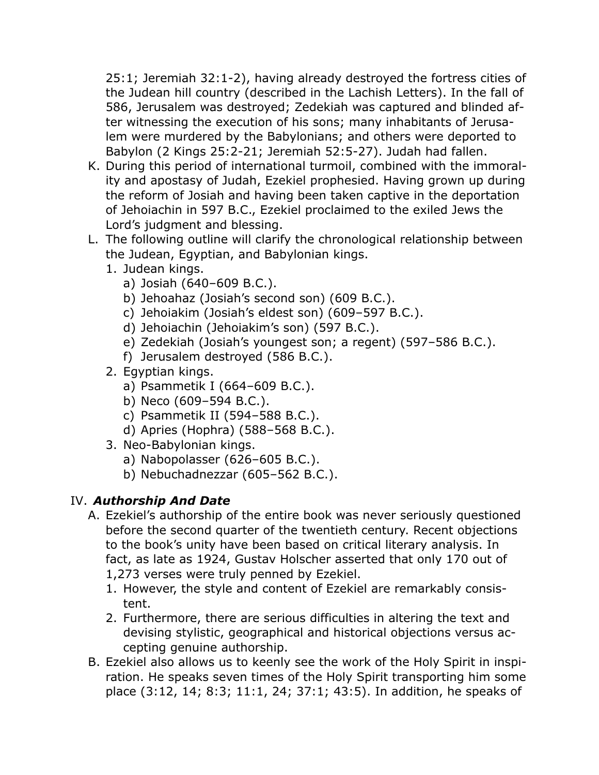25:1; Jeremiah 32:1-2), having already destroyed the fortress cities of the Judean hill country (described in the Lachish Letters). In the fall of 586, Jerusalem was destroyed; Zedekiah was captured and blinded after witnessing the execution of his sons; many inhabitants of Jerusalem were murdered by the Babylonians; and others were deported to Babylon (2 Kings 25:2-21; Jeremiah 52:5-27). Judah had fallen.

- K. During this period of international turmoil, combined with the immorality and apostasy of Judah, Ezekiel prophesied. Having grown up during the reform of Josiah and having been taken captive in the deportation of Jehoiachin in 597 B.C., Ezekiel proclaimed to the exiled Jews the Lord's judgment and blessing.
- L. The following outline will clarify the chronological relationship between the Judean, Egyptian, and Babylonian kings.
	- 1. Judean kings.
		- a) Josiah (640–609 B.C.).
		- b) Jehoahaz (Josiah's second son) (609 B.C.).
		- c) Jehoiakim (Josiah's eldest son) (609–597 B.C.).
		- d) Jehoiachin (Jehoiakim's son) (597 B.C.).
		- e) Zedekiah (Josiah's youngest son; a regent) (597–586 B.C.).
		- f) Jerusalem destroyed (586 B.C.).
	- 2. Egyptian kings.
		- a) Psammetik I (664–609 B.C.).
		- b) Neco (609–594 B.C.).
		- c) Psammetik II (594–588 B.C.).
		- d) Apries (Hophra) (588–568 B.C.).
	- 3. Neo-Babylonian kings.
		- a) Nabopolasser (626–605 B.C.).
		- b) Nebuchadnezzar (605–562 B.C.).

## IV. *Authorship And Date*

- A. Ezekiel's authorship of the entire book was never seriously questioned before the second quarter of the twentieth century. Recent objections to the book's unity have been based on critical literary analysis. In fact, as late as 1924, Gustav Holscher asserted that only 170 out of 1,273 verses were truly penned by Ezekiel.
	- 1. However, the style and content of Ezekiel are remarkably consistent.
	- 2. Furthermore, there are serious difficulties in altering the text and devising stylistic, geographical and historical objections versus accepting genuine authorship.
- B. Ezekiel also allows us to keenly see the work of the Holy Spirit in inspiration. He speaks seven times of the Holy Spirit transporting him some place (3:12, 14; 8:3; 11:1, 24; 37:1; 43:5). In addition, he speaks of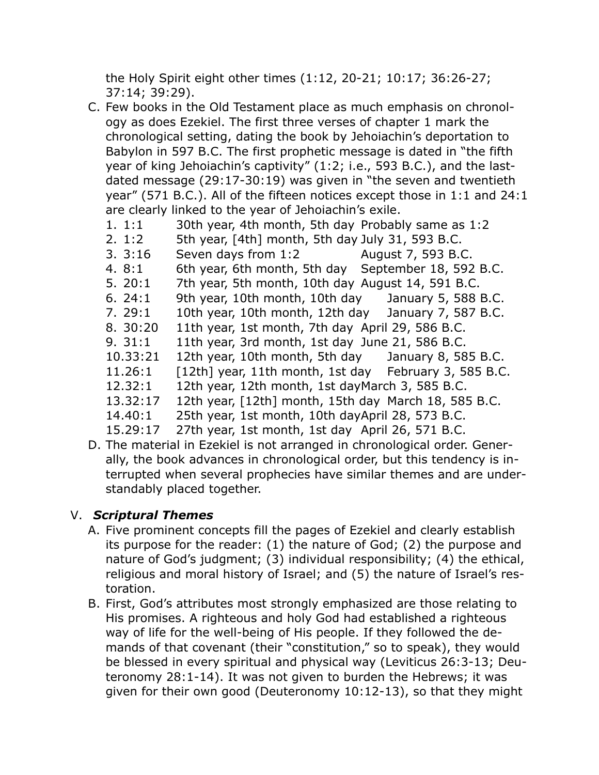the Holy Spirit eight other times (1:12, 20-21; 10:17; 36:26-27; 37:14; 39:29).

- C. Few books in the Old Testament place as much emphasis on chronology as does Ezekiel. The first three verses of chapter 1 mark the chronological setting, dating the book by Jehoiachin's deportation to Babylon in 597 B.C. The first prophetic message is dated in "the fifth year of king Jehoiachin's captivity" (1:2; i.e., 593 B.C.), and the lastdated message (29:17-30:19) was given in "the seven and twentieth year" (571 B.C.). All of the fifteen notices except those in 1:1 and 24:1 are clearly linked to the year of Jehoiachin's exile.
	- 1. 1:1 30th year, 4th month, 5th day Probably same as 1:2
	- 2.  $1:2$  5th year,  $[4th]$  month, 5th day July 31, 593 B.C.
	- 3. 3:16 Seven days from 1:2 August 7, 593 B.C.
	- 4. 8:1 6th year, 6th month, 5th day September 18, 592 B.C.
	- 5. 20:1 7th year, 5th month, 10th day August 14, 591 B.C.
	- 6. 24:1 9th year, 10th month, 10th day January 5, 588 B.C.
	- 7. 29:1 10th year, 10th month, 12th day January 7, 587 B.C.
	- 8. 30:20 11th year, 1st month, 7th day April 29, 586 B.C.
	- 9. 31:1 11th year, 3rd month, 1st day June 21, 586 B.C.
	- 10.33:21 12th year, 10th month, 5th day January 8, 585 B.C.
	- 11.26:1  $\left[12 \text{th}\right]$  year, 11th month, 1st day February 3, 585 B.C.
	- 12.32:1 12th year, 12th month, 1st day March 3, 585 B.C.
	- 13.32:17 12th year, [12th] month, 15th day March 18, 585 B.C.
	- 14.40:1 25th year, 1st month, 10th day April 28, 573 B.C.
	- 15.29:17 27th year, 1st month, 1st day April 26, 571 B.C.
- D. The material in Ezekiel is not arranged in chronological order. Generally, the book advances in chronological order, but this tendency is interrupted when several prophecies have similar themes and are understandably placed together.

#### V. *Scriptural Themes*

- A. Five prominent concepts fill the pages of Ezekiel and clearly establish its purpose for the reader: (1) the nature of God; (2) the purpose and nature of God's judgment; (3) individual responsibility; (4) the ethical, religious and moral history of Israel; and (5) the nature of Israel's restoration.
- B. First, God's attributes most strongly emphasized are those relating to His promises. A righteous and holy God had established a righteous way of life for the well-being of His people. If they followed the demands of that covenant (their "constitution," so to speak), they would be blessed in every spiritual and physical way (Leviticus 26:3-13; Deuteronomy 28:1-14). It was not given to burden the Hebrews; it was given for their own good (Deuteronomy 10:12-13), so that they might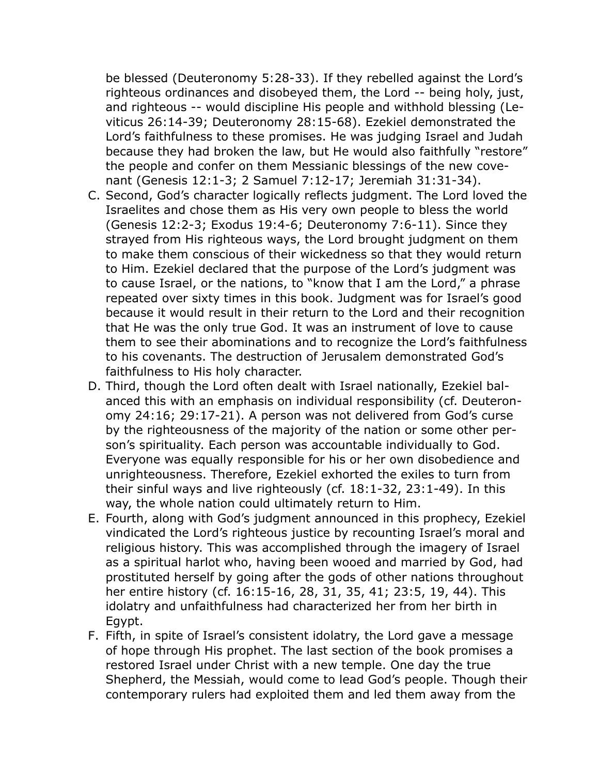be blessed (Deuteronomy 5:28-33). If they rebelled against the Lord's righteous ordinances and disobeyed them, the Lord -- being holy, just, and righteous -- would discipline His people and withhold blessing (Leviticus 26:14-39; Deuteronomy 28:15-68). Ezekiel demonstrated the Lord's faithfulness to these promises. He was judging Israel and Judah because they had broken the law, but He would also faithfully "restore" the people and confer on them Messianic blessings of the new covenant (Genesis 12:1-3; 2 Samuel 7:12-17; Jeremiah 31:31-34).

- C. Second, God's character logically reflects judgment. The Lord loved the Israelites and chose them as His very own people to bless the world (Genesis 12:2-3; Exodus 19:4-6; Deuteronomy 7:6-11). Since they strayed from His righteous ways, the Lord brought judgment on them to make them conscious of their wickedness so that they would return to Him. Ezekiel declared that the purpose of the Lord's judgment was to cause Israel, or the nations, to "know that I am the Lord," a phrase repeated over sixty times in this book. Judgment was for Israel's good because it would result in their return to the Lord and their recognition that He was the only true God. It was an instrument of love to cause them to see their abominations and to recognize the Lord's faithfulness to his covenants. The destruction of Jerusalem demonstrated God's faithfulness to His holy character.
- D. Third, though the Lord often dealt with Israel nationally, Ezekiel balanced this with an emphasis on individual responsibility (cf. Deuteronomy 24:16; 29:17-21). A person was not delivered from God's curse by the righteousness of the majority of the nation or some other person's spirituality. Each person was accountable individually to God. Everyone was equally responsible for his or her own disobedience and unrighteousness. Therefore, Ezekiel exhorted the exiles to turn from their sinful ways and live righteously (cf. 18:1-32, 23:1-49). In this way, the whole nation could ultimately return to Him.
- E. Fourth, along with God's judgment announced in this prophecy, Ezekiel vindicated the Lord's righteous justice by recounting Israel's moral and religious history. This was accomplished through the imagery of Israel as a spiritual harlot who, having been wooed and married by God, had prostituted herself by going after the gods of other nations throughout her entire history (cf. 16:15-16, 28, 31, 35, 41; 23:5, 19, 44). This idolatry and unfaithfulness had characterized her from her birth in Egypt.
- F. Fifth, in spite of Israel's consistent idolatry, the Lord gave a message of hope through His prophet. The last section of the book promises a restored Israel under Christ with a new temple. One day the true Shepherd, the Messiah, would come to lead God's people. Though their contemporary rulers had exploited them and led them away from the